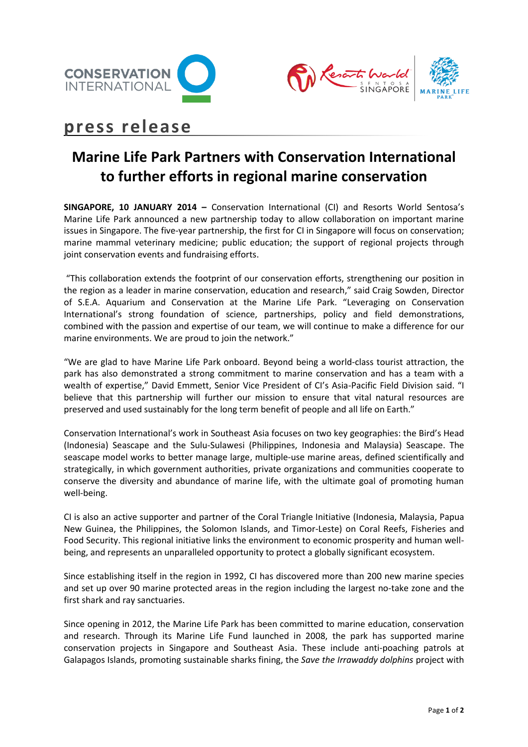



# **press release**

## **Marine Life Park Partners with Conservation International to further efforts in regional marine conservation**

**SINGAPORE, 10 JANUARY 2014 –** Conservation International (CI) and Resorts World Sentosa's Marine Life Park announced a new partnership today to allow collaboration on important marine issues in Singapore. The five-year partnership, the first for CI in Singapore will focus on conservation; marine mammal veterinary medicine; public education; the support of regional projects through joint conservation events and fundraising efforts.

"This collaboration extends the footprint of our conservation efforts, strengthening our position in the region as a leader in marine conservation, education and research," said Craig Sowden, Director of S.E.A. Aquarium and Conservation at the Marine Life Park. "Leveraging on Conservation International's strong foundation of science, partnerships, policy and field demonstrations, combined with the passion and expertise of our team, we will continue to make a difference for our marine environments. We are proud to join the network."

"We are glad to have Marine Life Park onboard. Beyond being a world-class tourist attraction, the park has also demonstrated a strong commitment to marine conservation and has a team with a wealth of expertise," David Emmett, Senior Vice President of CI's Asia-Pacific Field Division said. "I believe that this partnership will further our mission to ensure that vital natural resources are preserved and used sustainably for the long term benefit of people and all life on Earth."

Conservation International's work in Southeast Asia focuses on two key geographies: the Bird's Head (Indonesia) Seascape and the Sulu-Sulawesi (Philippines, Indonesia and Malaysia) Seascape. The seascape model works to better manage large, multiple-use marine areas, defined scientifically and strategically, in which government authorities, private organizations and communities cooperate to conserve the diversity and abundance of marine life, with the ultimate goal of promoting human well-being.

CI is also an active supporter and partner of the Coral Triangle Initiative (Indonesia, Malaysia, Papua New Guinea, the Philippines, the Solomon Islands, and Timor-Leste) on Coral Reefs, Fisheries and Food Security. This regional initiative links the environment to economic prosperity and human wellbeing, and represents an unparalleled opportunity to protect a globally significant ecosystem.

Since establishing itself in the region in 1992, CI has discovered more than 200 new marine species and set up over 90 marine protected areas in the region including the largest no-take zone and the first shark and ray sanctuaries.

Since opening in 2012, the Marine Life Park has been committed to marine education, conservation and research. Through its Marine Life Fund launched in 2008, the park has supported marine conservation projects in Singapore and Southeast Asia. These include anti-poaching patrols at Galapagos Islands, promoting sustainable sharks fining, the *Save the Irrawaddy dolphins* project with